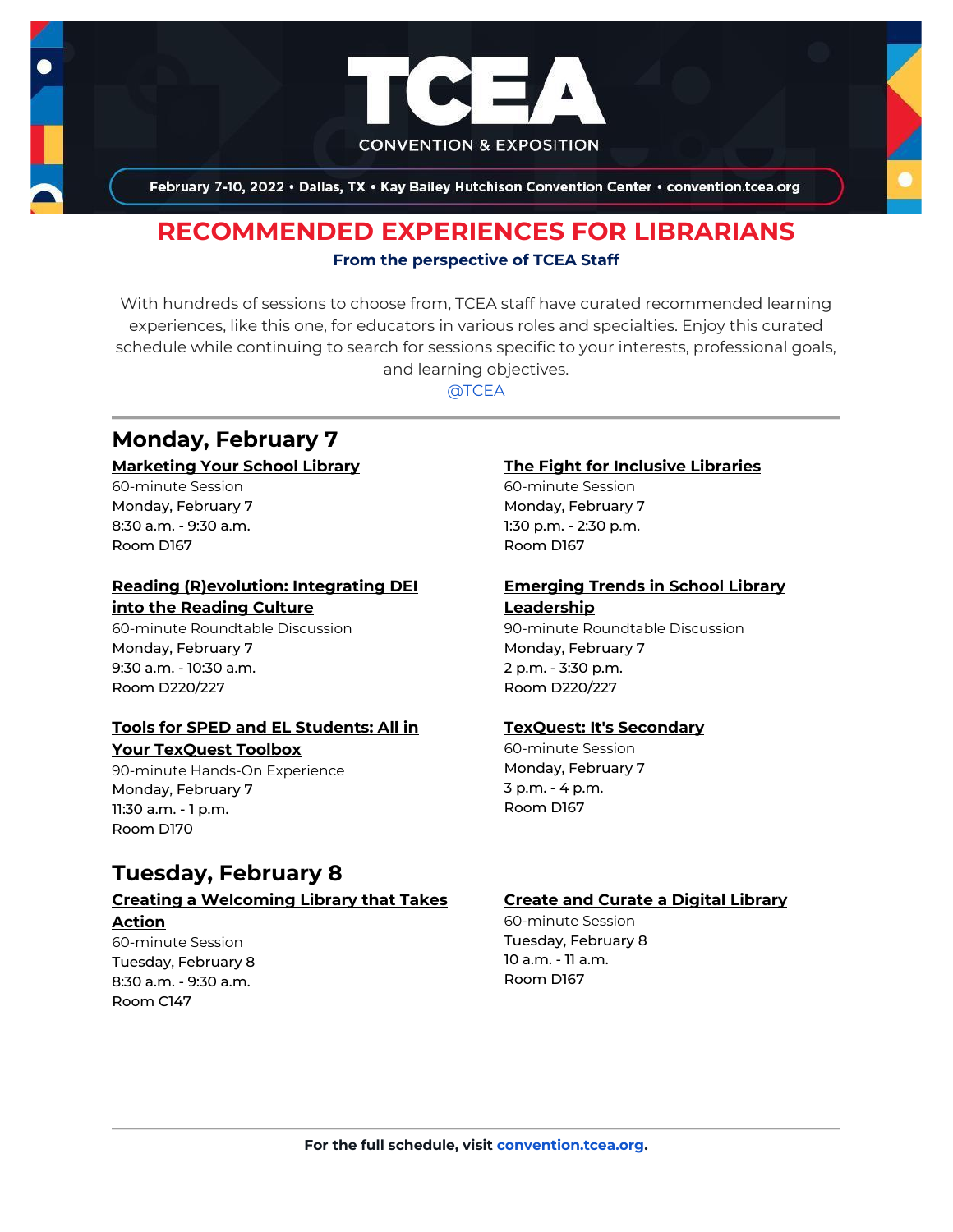

February 7-10, 2022 . Dallas, TX . Kay Bailey Hutchison Convention Center . convention.tcea.org

# **RECOMMENDED EXPERIENCES FOR LIBRARIANS From the perspective of TCEA Staff**

With hundreds of sessions to choose from, TCEA staff have curated recommended learning experiences, like this one, for educators in various roles and specialties. Enjoy this curated schedule while continuing to search for sessions specific to your interests, professional goals, and learning objectives.

[@TCEA](https://twitter.com/TCEA)

# **Monday, February 7**

# **[Marketing Your School Library](https://register.tcea.org/2022/session_list.cfm?session_key=023D3D68-F04D-A206-2B64-80383ACABBBC&session_date=Monday,%20Feb%2007,%202022)**

60-minute Session Monday, February 7 8:30 a.m. - 9:30 a.m. Room D167

# **[Reading \(R\)evolution: Integrating DEI](https://register.tcea.org/2022/session_list.cfm?session_key=023F40E2-F04D-A206-2B64-5AA2174D2453&session_date=Monday,%20Feb%2007,%202022)  [into the Reading Culture](https://register.tcea.org/2022/session_list.cfm?session_key=023F40E2-F04D-A206-2B64-5AA2174D2453&session_date=Monday,%20Feb%2007,%202022)**

60-minute Roundtable Discussion Monday, February 7 9:30 a.m. - 10:30 a.m. Room D220/227

## **[Tools for SPED and EL Students: All in](https://register.tcea.org/2022/session_list.cfm?session_key=024370E4-F04D-A206-2B64-77804FCFCEF4&session_date=Monday,%20Feb%2007,%202022)  [Your TexQuest Toolbox](https://register.tcea.org/2022/session_list.cfm?session_key=024370E4-F04D-A206-2B64-77804FCFCEF4&session_date=Monday,%20Feb%2007,%202022)**

90-minute Hands-On Experience Monday, February 7 11:30 a.m. - 1 p.m. Room D170

# **Tuesday, February 8**

# **[Creating a Welcoming Library that Takes](https://register.tcea.org/2022/session_list.cfm?session_key=02344D5E-F04D-A206-2B64-28B1BD83EF81&session_date=Tuesday,%20Feb%2008,%202022)**

# **[Action](https://register.tcea.org/2022/session_list.cfm?session_key=02344D5E-F04D-A206-2B64-28B1BD83EF81&session_date=Tuesday,%20Feb%2008,%202022)**

60-minute Session Tuesday, February 8 8:30 a.m. - 9:30 a.m. Room C147

## **[The Fight for Inclusive Libraries](https://register.tcea.org/2022/session_list.cfm?session_key=02429C9A-F04D-A206-2B64-9F46246DB9DA&session_date=Monday,%20Feb%2007,%202022)**

60-minute Session Monday, February 7 1:30 p.m. - 2:30 p.m. Room D167

# **[Emerging Trends in School Library](https://register.tcea.org/2022/session_list.cfm?session_key=0236F2FC-F04D-A206-2B64-ABF0C6816FCD&session_date=Monday,%20Feb%2007,%202022)  [Leadership](https://register.tcea.org/2022/session_list.cfm?session_key=0236F2FC-F04D-A206-2B64-ABF0C6816FCD&session_date=Monday,%20Feb%2007,%202022)**

90-minute Roundtable Discussion Monday, February 7 2 p.m. - 3:30 p.m. Room D220/227

## **[TexQuest: It's Secondary](https://register.tcea.org/2022/session_list.cfm?session_key=0242468E-F04D-A206-2B64-B92C5FB85845&session_date=Monday,%20Feb%2007,%202022)**

60-minute Session Monday, February 7 3 p.m. - 4 p.m. Room D167

## **[Create and Curate a Digital Library](https://register.tcea.org/2022/session_list.cfm?session_key=02340C7E-F04D-A206-2B64-39B9B6E35001&session_date=Tuesday,%20Feb%2008,%202022)**

60-minute Session Tuesday, February 8 10 a.m. - 11 a.m. Room D167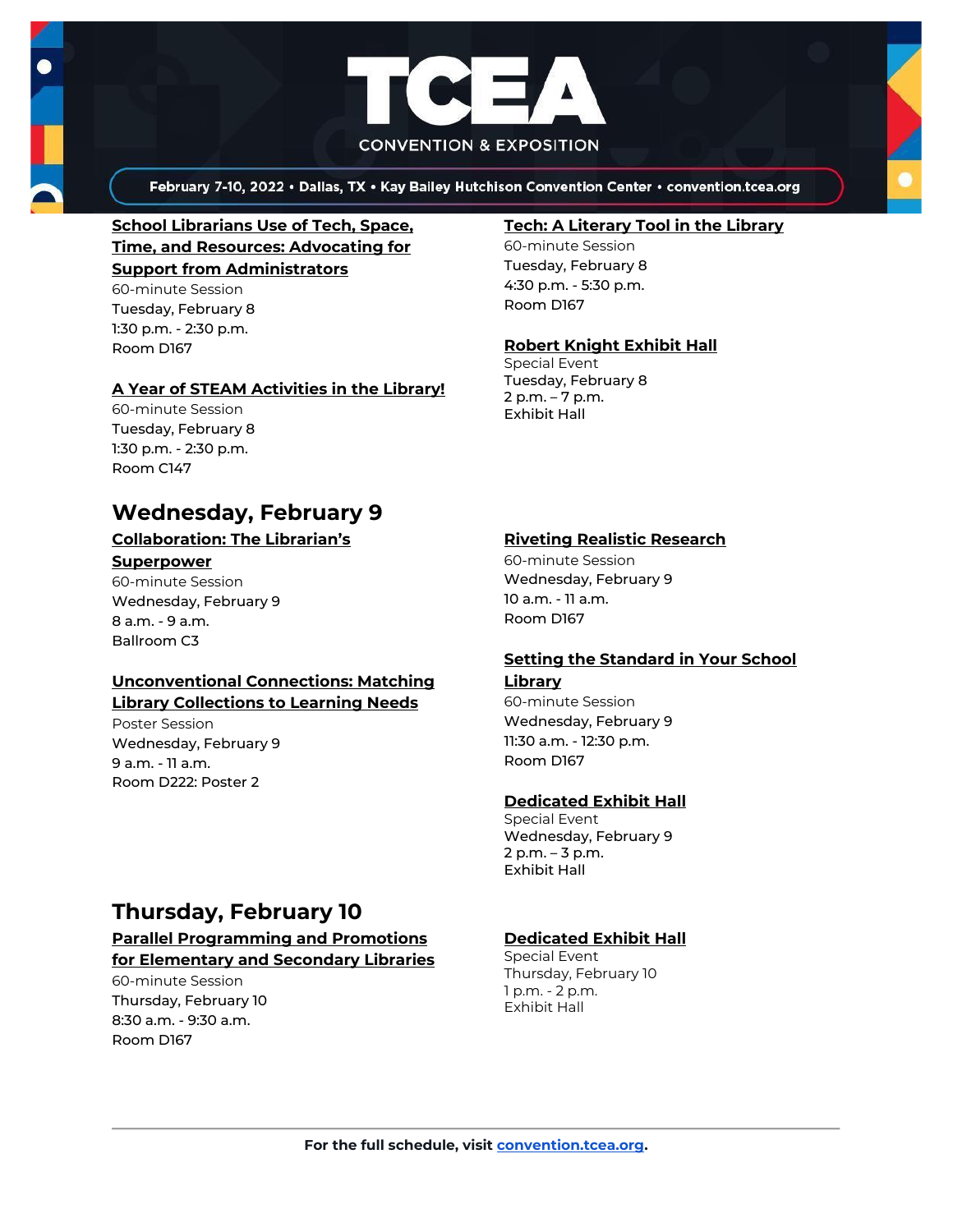



February 7-10, 2022 . Dallas, TX . Kay Bailey Hutchison Convention Center . convention.tcea.org

# **[School Librarians Use of Tech, Space,](https://register.tcea.org/2022/session_list.cfm?session_key=023FEE30-F04D-A206-2B64-1DFF84558016&session_date=Tuesday,%20Feb%2008,%202022)  [Time, and Resources: Advocating for](https://register.tcea.org/2022/session_list.cfm?session_key=023FEE30-F04D-A206-2B64-1DFF84558016&session_date=Tuesday,%20Feb%2008,%202022) [Support from Administrators](https://register.tcea.org/2022/session_list.cfm?session_key=023FEE30-F04D-A206-2B64-1DFF84558016&session_date=Tuesday,%20Feb%2008,%202022)**

60-minute Session Tuesday, February 8 1:30 p.m. - 2:30 p.m. Room D167

## **[A Year of STEAM Activities in the Library!](https://register.tcea.org/2022/session_list.cfm?session_key=02304ADB-F04D-A206-2B64-3C9055B60482&session_date=Tuesday,%20Feb%2008,%202022)**

60-minute Session Tuesday, February 8 1:30 p.m. - 2:30 p.m. Room C147

# **Wednesday, February 9**

# **[Collaboration: The Librarian's](https://register.tcea.org/2022/session_list.cfm?session_key=C224E108-F04D-A206-2B64-90C34E467705&session_date=Wednesday,%20Feb%2009,%202022)**

#### **[Superpower](https://register.tcea.org/2022/session_list.cfm?session_key=C224E108-F04D-A206-2B64-90C34E467705&session_date=Wednesday,%20Feb%2009,%202022)**

60-minute Session Wednesday, February 9 8 a.m. - 9 a.m. Ballroom C3

# **[Unconventional Connections: Matching](https://register.tcea.org/2022/session_list.cfm?session_key=0243CBA1-F04D-A206-2B64-5E7127A1516B&session_date=Wednesday,%20Feb%2009,%202022)  [Library Collections to Learning Needs](https://register.tcea.org/2022/session_list.cfm?session_key=0243CBA1-F04D-A206-2B64-5E7127A1516B&session_date=Wednesday,%20Feb%2009,%202022)**

Poster Session Wednesday, February 9 9 a.m. - 11 a.m. Room D222: Poster 2

# **[Tech: A Literary Tool in the Library](https://register.tcea.org/2022/session_list.cfm?session_key=02423D1E-F04D-A206-2B64-851915C76BCE&session_date=Tuesday,%20Feb%2008,%202022)**

60-minute Session Tuesday, February 8 4:30 p.m. - 5:30 p.m. Room D167

# **[Robert Knight Exhibit Hall](https://register.tcea.org/2022/session_list.cfm?session_key=61CDF249-F04D-A206-2B64-15D6559D2515&session_date=Tuesday,%20Feb%2008,%202022)**

Special Event Tuesday, February 8 2 p.m. – 7 p.m. Exhibit Hall

# **[Riveting Realistic Research](https://register.tcea.org/2022/session_list.cfm?session_key=023F9CC0-F04D-A206-2B64-9E4334CB4DE8&session_date=Wednesday,%20Feb%2009,%202022)**

60-minute Session Wednesday, February 9 10 a.m. - 11 a.m. Room D167

# **[Setting the Standard in Your School](https://register.tcea.org/2022/session_list.cfm?session_key=02406876-F04D-A206-2B64-B373DEF973A3&session_date=Wednesday,%20Feb%2009,%202022)**

# **[Library](https://register.tcea.org/2022/session_list.cfm?session_key=02406876-F04D-A206-2B64-B373DEF973A3&session_date=Wednesday,%20Feb%2009,%202022)**

60-minute Session Wednesday, February 9 11:30 a.m. - 12:30 p.m. Room D167

## **[Dedicated Exhibit Hall](https://register.tcea.org/2022/session_list.cfm?session_key=61CDD8E6-F04D-A206-2B64-74AAAD8173D7&session_date=Wednesday,%20Feb%2009,%202022)**

Special Event Wednesday, February 9 2 p.m. – 3 p.m. Exhibit Hall

# **Thursday, February 10**

#### **[Parallel Programming and Promotions](https://register.tcea.org/2022/session_list.cfm?session_key=023E248E-F04D-A206-2B64-6EE6CBA77EE9&session_date=Thursday,%20Feb%2010,%202022)  [for Elementary and Secondary Libraries](https://register.tcea.org/2022/session_list.cfm?session_key=023E248E-F04D-A206-2B64-6EE6CBA77EE9&session_date=Thursday,%20Feb%2010,%202022)**

60-minute Session Thursday, February 10 8:30 a.m. - 9:30 a.m. Room D167

## **[Dedicated Exhibit Hall](https://register.tcea.org/2022/session_list.cfm?session_key=61CDD8E6-F04D-A206-2B64-74AAAD8173D7&session_date=Thursday,%20Feb%2010,%202022)**

Special Event Thursday, February 10 1 p.m. - 2 p.m. Exhibit Hall